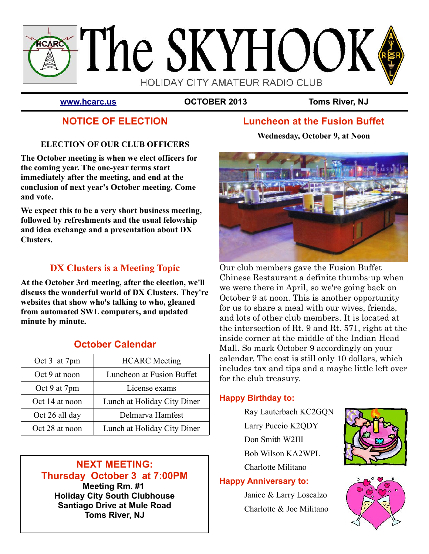

**[www.hcarc.us](http://www.hcarc.us/) OCTOBER 2013 Toms River, NJ**

# **NOTICE OF ELECTION**

## **ELECTION OF OUR CLUB OFFICERS**

**The October meeting is when we elect officers for the coming year. The one-year terms start immediately after the meeting, and end at the conclusion of next year's October meeting. Come and vote.**

**We expect this to be a very short business meeting, followed by refreshments and the usual felowship and idea exchange and a presentation about DX Clusters.** 

## **DX Clusters is a Meeting Topic**

**At the October 3rd meeting, after the election, we'll discuss the wonderful world of DX Clusters. They're websites that show who's talking to who, gleaned from automated SWL computers, and updated minute by minute.** 

## **October Calendar**

| Oct 3 at 7pm   | <b>HCARC</b> Meeting        |
|----------------|-----------------------------|
| Oct 9 at noon  | Luncheon at Fusion Buffet   |
| Oct 9 at 7pm   | License exams               |
| Oct 14 at noon | Lunch at Holiday City Diner |
| Oct 26 all day | Delmarva Hamfest            |
| Oct 28 at noon | Lunch at Holiday City Diner |

#### **NEXT MEETING: Thursday October 3 at 7:00PM Meeting Rm. #1 Holiday City South Clubhouse Santiago Drive at Mule Road Toms River, NJ**

# **Luncheon at the Fusion Buffet**

**Wednesday, October 9, at Noon**



Our club members gave the Fusion Buffet Chinese Restaurant a definite thumbs-up when we were there in April, so we're going back on October 9 at noon. This is another opportunity for us to share a meal with our wives, friends, and lots of other club members. It is located at the intersection of Rt. 9 and Rt. 571, right at the inside corner at the middle of the Indian Head Mall. So mark October 9 accordingly on your calendar. The cost is still only 10 dollars, which includes tax and tips and a maybe little left over for the club treasury.

## **Happy Birthday to:**

Ray Lauterbach KC2GQN Larry Puccio K2QDY Don Smith W2III Bob Wilson KA2WPL Charlotte Militano

## **Happy Anniversary to:**

Janice & Larry Loscalzo Charlotte & Joe Militano



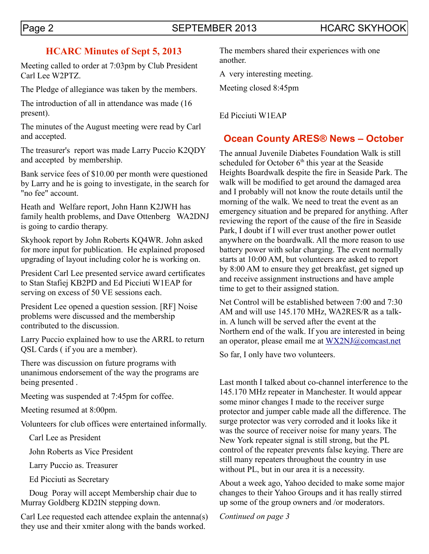## **HCARC Minutes of Sept 5, 2013**

Meeting called to order at 7:03pm by Club President Carl Lee W2PTZ.

The Pledge of allegiance was taken by the members.

The introduction of all in attendance was made (16 present).

The minutes of the August meeting were read by Carl and accepted.

The treasurer's report was made Larry Puccio K2QDY and accepted by membership.

Bank service fees of \$10.00 per month were questioned by Larry and he is going to investigate, in the search for "no fee" account.

Heath and Welfare report, John Hann K2JWH has family health problems, and Dave Ottenberg WA2DNJ is going to cardio therapy.

Skyhook report by John Roberts KQ4WR. John asked for more input for publication. He explained proposed upgrading of layout including color he is working on.

President Carl Lee presented service award certificates to Stan Stafiej KB2PD and Ed Picciuti W1EAP for serving on excess of 50 VE sessions each.

President Lee opened a question session. [RF] Noise problems were discussed and the membership contributed to the discussion.

Larry Puccio explained how to use the ARRL to return QSL Cards ( if you are a member).

There was discussion on future programs with unanimous endorsement of the way the programs are being presented .

Meeting was suspended at 7:45pm for coffee.

Meeting resumed at 8:00pm.

Volunteers for club offices were entertained informally.

Carl Lee as President

John Roberts as Vice President

Larry Puccio as. Treasurer

Ed Picciuti as Secretary

 Doug Poray will accept Membership chair due to Murray Goldberg KD2IN stepping down.

Carl Lee requested each attendee explain the antenna(s) they use and their xmiter along with the bands worked.

The members shared their experiences with one another.

A very interesting meeting.

Meeting closed 8:45pm

Ed Picciuti W1EAP

## **Ocean County ARES® News – October**

The annual Juvenile Diabetes Foundation Walk is still scheduled for October  $6<sup>th</sup>$  this year at the Seaside Heights Boardwalk despite the fire in Seaside Park. The walk will be modified to get around the damaged area and I probably will not know the route details until the morning of the walk. We need to treat the event as an emergency situation and be prepared for anything. After reviewing the report of the cause of the fire in Seaside Park, I doubt if I will ever trust another power outlet anywhere on the boardwalk. All the more reason to use battery power with solar charging. The event normally starts at 10:00 AM, but volunteers are asked to report by 8:00 AM to ensure they get breakfast, get signed up and receive assignment instructions and have ample time to get to their assigned station.

Net Control will be established between 7:00 and 7:30 AM and will use 145.170 MHz, WA2RES/R as a talkin. A lunch will be served after the event at the Northern end of the walk. If you are interested in being an operator, please email me at [WX2NJ@comcast.net](mailto:WX2NJ@comcast.net)

So far, I only have two volunteers.

Last month I talked about co-channel interference to the 145.170 MHz repeater in Manchester. It would appear some minor changes I made to the receiver surge protector and jumper cable made all the difference. The surge protector was very corroded and it looks like it was the source of receiver noise for many years. The New York repeater signal is still strong, but the PL control of the repeater prevents false keying. There are still many repeaters throughout the country in use without PL, but in our area it is a necessity.

About a week ago, Yahoo decided to make some major changes to their Yahoo Groups and it has really stirred up some of the group owners and /or moderators.

*Continued on page 3*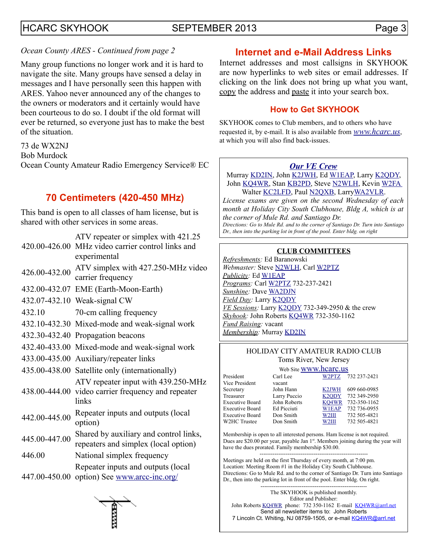## HCARC SKYHOOK SEPTEMBER 2013 Page 3

#### *Ocean County ARES - Continued from page 2*

Many group functions no longer work and it is hard to navigate the site. Many groups have sensed a delay in messages and I have personally seen this happen with ARES. Yahoo never announced any of the changes to the owners or moderators and it certainly would have been courteous to do so. I doubt if the old format will ever be returned, so everyone just has to make the best of the situation.

73 de WX2NJ

Bob Murdock

Ocean County Amateur Radio Emergency Service® EC

## **70 Centimeters (420-450 MHz)**

This band is open to all classes of ham license, but is shared with other services in some areas.

| 420.00-426.00 | ATV repeater or simplex with 421.25<br>MHz video carrier control links and<br>experimental |
|---------------|--------------------------------------------------------------------------------------------|
| 426.00-432.00 | ATV simplex with 427.250-MHz video<br>carrier frequency                                    |
| 432.00-432.07 | EME (Earth-Moon-Earth)                                                                     |
|               | 432.07-432.10 Weak-signal CW                                                               |
| 432.10        | 70-cm calling frequency                                                                    |
|               | 432.10-432.30 Mixed-mode and weak-signal work                                              |
|               | 432.30-432.40 Propagation beacons                                                          |
|               | 432.40-433.00 Mixed-mode and weak-signal work                                              |
|               | 433.00-435.00 Auxiliary/repeater links                                                     |
|               | 435.00-438.00 Satellite only (internationally)                                             |
| 438.00-444.00 | ATV repeater input with 439.250-MHz<br>video carrier frequency and repeater<br>links       |
| 442.00-445.00 | Repeater inputs and outputs (local<br>option)                                              |
| 445.00-447.00 | Shared by auxiliary and control links,<br>repeaters and simplex (local option)             |
| 446.00        | National simplex frequency                                                                 |
| 447.00-450.00 | Repeater inputs and outputs (local<br>option) See www.arcc-inc.org/                        |

## **Internet and e-Mail Address Links**

Internet addresses and most callsigns in SKYHOOK are now hyperlinks to web sites or email addresses. If clicking on the link does not bring up what you want, copy the address and paste it into your search box.

#### **How to Get SKYHOOK**

SKYHOOK comes to Club members, and to others who have requested it, by e-mail. It is also available from *[www.hcarc.us](http://www.hcarc.us/)*, at which you will also find back-issues.

#### *[Our VE Crew](mailto:lpuccio1@comcast.net?subject=VE)*

Murray [KD2IN,](mailto:MurrayKD2IN@comcast.net) John [K2JWH,](mailto:johnhinbarnegat@gmail.com) Ed [W1EAP,](mailto:epicciuti@hotmail.com) Larry [K2QDY,](mailto:lpuccio1@comcast.net) John [KQ4WR,](mailto:kq4wr@arrl.net) Stan [KB2PD,](mailto:kb2pd@arrl.net) Steve [N2WLH,](mailto:n2wlh@arrl.net) Kevin [W2FA](mailto:w2fa.kgw@gmail.com) Walter [KC2LFD,](mailto:wkorch@yahoo.com) Paul [N2QXB,](mailto:N2QXB@hotmail.com) Larr[yWA2VLR.](mailto:lloscalz@optonline.net)

*License exams are given on the second Wednesday of each month at Holiday City South Clubhouse, Bldg A, which is at the corner of Mule Rd. and Santiago Dr. Directions: Go to Mule Rd. and to the corner of Santiago Dr. Turn into Santiago Dr., then into the parking lot in front of the pool. Enter bldg. on right*

#### **CLUB COMMITTEES**

*Refreshments:* Ed Baranowski *Webmaster:* Steve [N2WLH,](mailto:n2wlh@arrl.net) Carl [W2PTZ](mailto:w2ptz@arrl.net) *Publicity:* Ed [W1EAP](mailto:epicciuti@hotmail.com) *Programs:* Carl [W2PTZ](mailto:w2ptz@arrl.net) 732-237-2421 *Sunshine:* Dave [WA2DJN](mailto:wa2djn3@verizon.net) *Field Day:* Larry [K2QDY](mailto:lpuccio1@comcast.net) *VE Sessions:* Larry [K2QDY](mailto:lpuccio1@comcast.net) 732-349-2950 & the crew *Skyhook:* John Roberts [KQ4WR](mailto:kq4wr@arrl.net) 732-350-1162 *Fund Raising:* vacant *Membership:* Murray [KD2IN](mailto:murraykd2in@comcast.net)

#### HOLIDAY CITY AMATEUR RADIO CLUB Toms River, New Jersey

|                        | Web Site WWW.hcarc.us |                    |              |  |  |
|------------------------|-----------------------|--------------------|--------------|--|--|
| President              | Carl Lee              | W2PTZ              | 732 237-2421 |  |  |
| Vice President         | vacant                |                    |              |  |  |
| Secretary              | John Hann             | K <sub>2</sub> JWH | 609 660-0985 |  |  |
| Treasurer              | Larry Puccio          | K <sub>2</sub> ODY | 732 349-2950 |  |  |
| <b>Executive Board</b> | John Roberts          | KO4WR              | 732-350-1162 |  |  |
| <b>Executive Board</b> | Ed Picciuti           | <b>W1EAP</b>       | 732 736-0955 |  |  |
| <b>Executive Board</b> | Don Smith             | W <sub>2III</sub>  | 732 505-4821 |  |  |
| W2HC Trustee           | Don Smith             | W2III              | 732 505-4821 |  |  |

Membership is open to all interested persons. Ham license is not required. Dues are \$20.00 per year, payable Jan 1<sup>st</sup>. Members joining during the year will have the dues prorated. Family membership \$30.00.

---------------------------------------------------------- Meetings are held on the first Thursday of every month, at 7:00 pm. Location: Meeting Room #1 in the Holiday City South Clubhouse. Directions: Go to Mule Rd. and to the corner of Santiago Dr. Turn into Santiago Dr., then into the parking lot in front of the pool. Enter bldg. On right.

--------------------------------------------------------- The SKYHOOK is published monthly. Editor and Publisher: John Roberts [KQ4WR](mailto:kq4wr@arrl.net) phone: 732 350-1162 E-mail [KQ4WR@arrl.net](mailto:KQ4WR@arrl.net) Send all newsletter items to: John Roberts 7 Lincoln Ct. Whiting, NJ 08759-1505, or e-mail [KQ4WR@arrl.net](mailto:KQ4WR@arrl.net)

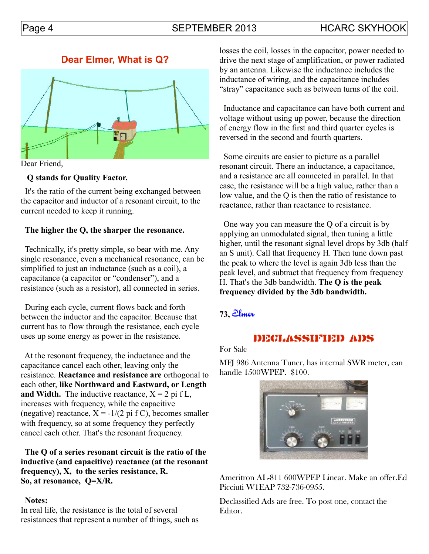## Page 4 SEPTEMBER 2013 HCARC SKYHOOK

## **Dear Elmer, What is Q?**



Dear Friend,

#### **Q stands for Quality Factor.**

 It's the ratio of the current being exchanged between the capacitor and inductor of a resonant circuit, to the current needed to keep it running.

#### **The higher the Q, the sharper the resonance.**

 Technically, it's pretty simple, so bear with me. Any single resonance, even a mechanical resonance, can be simplified to just an inductance (such as a coil), a capacitance (a capacitor or "condenser"), and a resistance (such as a resistor), all connected in series.

 During each cycle, current flows back and forth between the inductor and the capacitor. Because that current has to flow through the resistance, each cycle uses up some energy as power in the resistance.

 At the resonant frequency, the inductance and the capacitance cancel each other, leaving only the resistance. **Reactance and resistance are** orthogonal to each other, **like Northward and Eastward, or Length and Width.** The inductive reactance,  $X = 2$  pi f L, increases with frequency, while the capacitive (negative) reactance,  $X = -1/(2 \text{ pi f C})$ , becomes smaller with frequency, so at some frequency they perfectly cancel each other. That's the resonant frequency.

 **The Q of a series resonant circuit is the ratio of the inductive (and capacitive) reactance (at the resonant frequency), X, to the series resistance, R. So, at resonance, Q=X/R.** 

#### **Notes:**

In real life, the resistance is the total of several resistances that represent a number of things, such as losses the coil, losses in the capacitor, power needed to drive the next stage of amplification, or power radiated by an antenna. Likewise the inductance includes the inductance of wiring, and the capacitance includes "stray" capacitance such as between turns of the coil.

 Inductance and capacitance can have both current and voltage without using up power, because the direction of energy flow in the first and third quarter cycles is reversed in the second and fourth quarters.

 Some circuits are easier to picture as a parallel resonant circuit. There an inductance, a capacitance, and a resistance are all connected in parallel. In that case, the resistance will be a high value, rather than a low value, and the Q is then the ratio of resistance to reactance, rather than reactance to resistance.

 One way you can measure the Q of a circuit is by applying an unmodulated signal, then tuning a little higher, until the resonant signal level drops by 3db (half an S unit). Call that frequency H. Then tune down past the peak to where the level is again 3db less than the peak level, and subtract that frequency from frequency H. That's the 3db bandwidth. **The Q is the peak frequency divided by the 3db bandwidth.**

#### **73,** Elmer

## DECLASSIFIED ADS

For Sale

MFJ 986 Antenna Tuner, has internal SWR meter, can handle 1500WPEP. \$100.



Ameritron AL-811 600WPEP Linear. Make an offer.Ed Picciuti W1EAP 732-736-0955.

Declassified Ads are free. To post one, contact the Editor.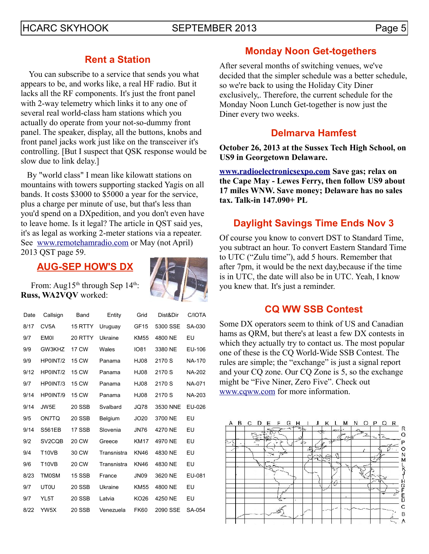## HCARC SKYHOOK SEPTEMBER 2013 Page 5

## **Rent a Station**

 You can subscribe to a service that sends you what appears to be, and works like, a real HF radio. But it lacks all the RF components. It's just the front panel with 2-way telemetry which links it to any one of several real world-class ham stations which you actually do operate from your not-so-dummy front panel. The speaker, display, all the buttons, knobs and front panel jacks work just like on the transceiver it's controlling. [But I suspect that QSK response would be slow due to link delay.]

 By "world class" I mean like kilowatt stations on mountains with towers supporting stacked Yagis on all bands. It costs \$3000 to \$5000 a year for the service, plus a charge per minute of use, but that's less than you'd spend on a DXpedition, and you don't even have to leave home. Is it legal? The article in QST said yes, it's as legal as working 2-meter stations via a repeater. See [www.remotehamradio.com](file:///C:/Documents%20and%20Settings/HP_Owner/My%20Documents/Cabinet/SKYHOOK/WIP/www.remotehamradio.com%20) or May (not April) 2013 QST page 59.

## **AUG-SEP HOW'S DX**



From: Aug15<sup>th</sup> through Sep  $14<sup>th</sup>$ : **Russ, WA2VQV** worked:

| Date | Callsign                       | Band          | Entity                          | Grid             | Dist&Dir | C/IOTA |
|------|--------------------------------|---------------|---------------------------------|------------------|----------|--------|
| 8/17 | CV <sub>5</sub> A              | 15 RTTY       | Uruguay                         | GF <sub>15</sub> | 5300 SSE | SA-030 |
| 9/7  | <b>EM0I</b>                    | 20 RTTY       | Ukraine                         | <b>KM55</b>      | 4800 NE  | EU     |
| 9/9  | GW3KHZ                         | 17 CW         | Wales                           | <b>IO81</b>      | 3380 NE  | EU-106 |
| 9/9  | HP0INT/2                       | 15 CW         | Panama                          | <b>HJ08</b>      | 2170 S   | NA-170 |
| 9/12 | HP0INT/2                       | <b>15 CW</b>  | Panama                          | HJ08<br>2170 S   |          | NA-202 |
| 9/7  | HP0INT/3                       | <b>15 CW</b>  | <b>HJ08</b><br>2170 S<br>Panama |                  |          | NA-071 |
| 9/14 | HP0INT/9                       | <b>15 CW</b>  | Panama                          | HJ08             | 2170 S   | NA-203 |
| 9/14 | JW5E                           | 20 SSB        | Svalbard                        | JQ78             | 3530 NNE | EU-026 |
| 9/5  | ON7TO                          | <b>20 SSB</b> | Belgium                         | JO20             | 3700 NE  | EU     |
| 9/14 | <b>S561EB</b>                  | 17 SSB        | Slovenia                        | <b>JN76</b>      | 4270 NE  | EU     |
| 9/2  | SV <sub>2</sub> COB            | 20 CW         | <b>KM17</b><br>Greece           |                  | 4970 NE  | EU     |
| 9/4  | T <sub>10</sub> V <sub>B</sub> | 30 CW         | Transnistra<br><b>KN46</b>      |                  | 4830 NE  | EU     |
| 9/6  | <b>T10VB</b>                   | <b>20 CW</b>  | Transnistra<br><b>KN46</b>      |                  | 4830 NE  | EU     |
| 8/23 | <b>TM0SM</b>                   | 15 SSB        | France                          | JN <sub>09</sub> | 3620 NE  | EU-081 |
| 9/7  | <b>UT0U</b>                    | <b>20 SSB</b> | Ukraine                         | <b>KM55</b>      | 4800 NE  | EU     |
| 9/7  | YL5T                           | <b>20 SSB</b> | Latvia                          | KO <sub>26</sub> | 4250 NE  | EU     |
| 8/22 | YW5X                           | 20 SSB        | Venezuela                       | <b>FK60</b>      | 2090 SSE | SA-054 |

## **Monday Noon Get-togethers**

After several months of switching venues, we've decided that the simpler schedule was a better schedule, so we're back to using the Holiday City Diner exclusively,. Therefore, the current schedule for the Monday Noon Lunch Get-together is now just the Diner every two weeks.

## **Delmarva Hamfest**

#### **October 26, 2013 at the Sussex Tech High School, on US9 in Georgetown Delaware.**

**[www.radioelectronicsexpo.com](http://www.radioelectronicsexpo.com/) Save gas; relax on the Cape May - Lewes Ferry, then follow US9 about 17 miles WNW. Save money; Delaware has no sales tax. Talk-in 147.090+ PL** 

## **Daylight Savings Time Ends Nov 3**

Of course you know to convert DST to Standard Time, you subtract an hour. To convert Eastern Standard Time to UTC ("Zulu time"), add 5 hours. Remember that after 7pm, it would be the next day,because if the time is in UTC, the date will also be in UTC. Yeah, I know you knew that. It's just a reminder.

## **CQ WW SSB Contest**

Some DX operators seem to think of US and Canadian hams as QRM, but there's at least a few DX contests in which they actually try to contact us. The most popular one of these is the CQ World-Wide SSB Contest. The rules are simple; the "exchange" is just a signal report and your CQ zone. Our CQ Zone is 5, so the exchange might be "Five Niner, Zero Five". Check out [www.cqww.com](http://www.cqww.com/) for more information.